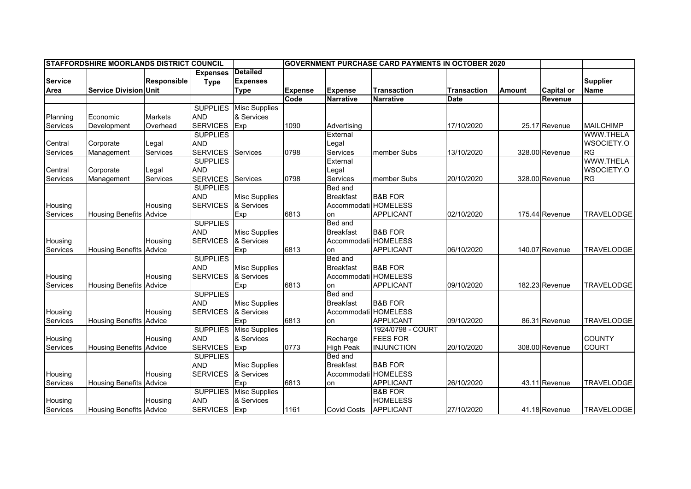| <b>STAFFORDSHIRE MOORLANDS DISTRICT COUNCIL</b> |                                |                |                 |                      | <b>GOVERNMENT PURCHASE CARD PAYMENTS IN OCTOBER 2020</b> |                      |                    |                    |               |                   |                   |
|-------------------------------------------------|--------------------------------|----------------|-----------------|----------------------|----------------------------------------------------------|----------------------|--------------------|--------------------|---------------|-------------------|-------------------|
|                                                 |                                |                | <b>Expenses</b> | <b>Detailed</b>      |                                                          |                      |                    |                    |               |                   |                   |
| <b>Service</b>                                  |                                | Responsible    | <b>Type</b>     | <b>Expenses</b>      |                                                          |                      |                    |                    |               |                   | <b>Supplier</b>   |
| Area                                            | <b>Service Division Unit</b>   |                |                 | <b>Type</b>          | <b>Expense</b>                                           | <b>Expense</b>       | <b>Transaction</b> | <b>Transaction</b> | <b>Amount</b> | <b>Capital or</b> | <b>Name</b>       |
|                                                 |                                |                |                 |                      | Code                                                     | <b>Narrative</b>     | <b>Narrative</b>   | Date               |               | Revenue           |                   |
|                                                 |                                |                | <b>SUPPLIES</b> | <b>Misc Supplies</b> |                                                          |                      |                    |                    |               |                   |                   |
| Planning                                        | Economic                       | <b>Markets</b> | <b>AND</b>      | & Services           |                                                          |                      |                    |                    |               |                   |                   |
| Services                                        | Development                    | Overhead       | <b>SERVICES</b> | Exp                  | 1090                                                     | Advertising          |                    | 17/10/2020         |               | 25.17 Revenue     | <b>MAILCHIMP</b>  |
|                                                 |                                |                | <b>SUPPLIES</b> |                      |                                                          | External             |                    |                    |               |                   | <b>WWW.THELA</b>  |
| Central                                         | Corporate                      | Legal          | <b>AND</b>      |                      |                                                          | Legal                |                    |                    |               |                   | WSOCIETY.O        |
| Services                                        | Management                     | Services       | <b>SERVICES</b> | Services             | 0798                                                     | Services             | member Subs        | 13/10/2020         |               | 328.00 Revenue    | <b>RG</b>         |
|                                                 |                                |                | <b>SUPPLIES</b> |                      |                                                          | External             |                    |                    |               |                   | WWW.THELA         |
| Central                                         | Corporate                      | Legal          | <b>AND</b>      |                      |                                                          | Legal                |                    |                    |               |                   | WSOCIETY.O        |
| Services                                        | Management                     | Services       | <b>SERVICES</b> | Services             | 0798                                                     | Services             | member Subs        | 20/10/2020         |               | 328.00 Revenue    | <b>RG</b>         |
|                                                 |                                |                | <b>SUPPLIES</b> |                      |                                                          | Bed and              |                    |                    |               |                   |                   |
|                                                 |                                |                | <b>AND</b>      | <b>Misc Supplies</b> |                                                          | <b>Breakfast</b>     | <b>B&amp;B FOR</b> |                    |               |                   |                   |
| Housing                                         |                                | Housing        | <b>SERVICES</b> | & Services           |                                                          | Accommodati HOMELESS |                    |                    |               |                   |                   |
| Services                                        | <b>Housing Benefits Advice</b> |                |                 | Exp                  | 6813                                                     | lon                  | <b>APPLICANT</b>   | 02/10/2020         |               | 175.44 Revenue    | <b>TRAVELODGE</b> |
|                                                 |                                |                | <b>SUPPLIES</b> |                      |                                                          | Bed and              |                    |                    |               |                   |                   |
|                                                 |                                |                | <b>AND</b>      | <b>Misc Supplies</b> |                                                          | <b>Breakfast</b>     | <b>B&amp;B FOR</b> |                    |               |                   |                   |
| Housing                                         |                                | Housing        | <b>SERVICES</b> | & Services           |                                                          | Accommodati HOMELESS |                    |                    |               |                   |                   |
| Services                                        | <b>Housing Benefits</b>        | Advice         |                 | Exp                  | 6813                                                     | on                   | <b>APPLICANT</b>   | 06/10/2020         |               | 140.07 Revenue    | <b>TRAVELODGE</b> |
|                                                 |                                |                | <b>SUPPLIES</b> |                      |                                                          | Bed and              |                    |                    |               |                   |                   |
|                                                 |                                |                | <b>AND</b>      | <b>Misc Supplies</b> |                                                          | <b>Breakfast</b>     | <b>B&amp;B FOR</b> |                    |               |                   |                   |
| Housing                                         |                                | Housing        | <b>SERVICES</b> | & Services           |                                                          | Accommodati HOMELESS |                    |                    |               |                   |                   |
| Services                                        | <b>Housing Benefits</b>        | Advice         |                 | Exp                  | 6813                                                     | on                   | APPLICANT          | 09/10/2020         |               | 182.23 Revenue    | <b>TRAVELODGE</b> |
|                                                 |                                |                | <b>SUPPLIES</b> |                      |                                                          | <b>Bed and</b>       |                    |                    |               |                   |                   |
|                                                 |                                |                | <b>AND</b>      | <b>Misc Supplies</b> |                                                          | <b>Breakfast</b>     | <b>B&amp;B FOR</b> |                    |               |                   |                   |
| Housing                                         |                                | Housing        | <b>SERVICES</b> | & Services           |                                                          | Accommodati HOMELESS |                    |                    |               |                   |                   |
| Services                                        | <b>Housing Benefits Advice</b> |                |                 | Exp                  | 6813                                                     | on                   | <b>APPLICANT</b>   | 09/10/2020         |               | 86.31 Revenue     | <b>TRAVELODGE</b> |
|                                                 |                                |                | <b>SUPPLIES</b> | <b>Misc Supplies</b> |                                                          |                      | 1924/0798 - COURT  |                    |               |                   |                   |
| Housing                                         |                                | Housing        | <b>AND</b>      | & Services           |                                                          | Recharge             | <b>FEES FOR</b>    |                    |               |                   | <b>COUNTY</b>     |
| Services                                        | <b>Housing Benefits Advice</b> |                | <b>SERVICES</b> | Exp                  | 0773                                                     | <b>High Peak</b>     | <b>INJUNCTION</b>  | 20/10/2020         |               | 308.00 Revenue    | <b>COURT</b>      |
|                                                 |                                |                | <b>SUPPLIES</b> |                      |                                                          | Bed and              |                    |                    |               |                   |                   |
|                                                 |                                |                | <b>AND</b>      | <b>Misc Supplies</b> |                                                          | <b>Breakfast</b>     | <b>B&amp;B FOR</b> |                    |               |                   |                   |
| Housing                                         |                                | Housing        | <b>SERVICES</b> | & Services           |                                                          | Accommodati HOMELESS |                    |                    |               |                   |                   |
| Services                                        | <b>Housing Benefits Advice</b> |                |                 | Exp                  | 6813                                                     | on                   | <b>APPLICANT</b>   | 26/10/2020         |               | 43.11 Revenue     | <b>TRAVELODGE</b> |
|                                                 |                                |                | <b>SUPPLIES</b> | <b>Misc Supplies</b> |                                                          |                      | <b>B&amp;B FOR</b> |                    |               |                   |                   |
| Housing                                         |                                | Housing        | <b>AND</b>      | & Services           |                                                          |                      | <b>HOMELESS</b>    |                    |               |                   |                   |
| Services                                        | <b>Housing Benefits Advice</b> |                | SERVICES Exp    |                      | 1161                                                     | <b>Covid Costs</b>   | <b>APPLICANT</b>   | 27/10/2020         |               | 41.18 Revenue     | <b>TRAVELODGE</b> |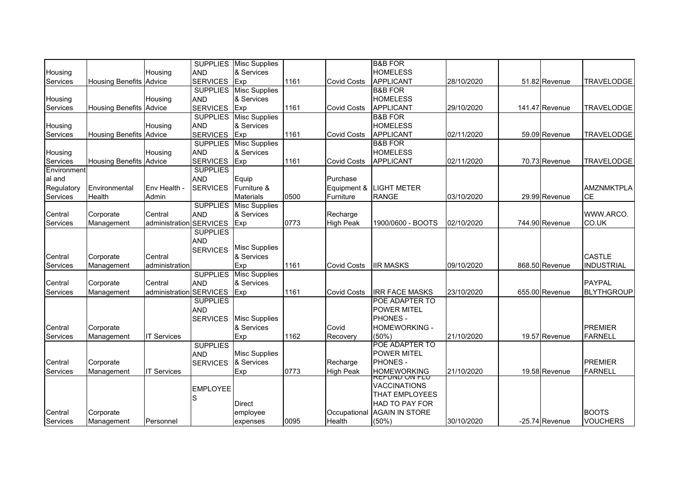| 28/10/2020<br>51.82 Revenue<br><b>TRAVELODGE</b>  |
|---------------------------------------------------|
|                                                   |
|                                                   |
| 141.47 Revenue<br>29/10/2020<br><b>TRAVELODGE</b> |
|                                                   |
|                                                   |
| 02/11/2020<br>59.09 Revenue<br><b>TRAVELODGE</b>  |
|                                                   |
|                                                   |
| 02/11/2020<br>70.73 Revenue<br><b>TRAVELODGE</b>  |
|                                                   |
|                                                   |
| <b>AMZNMKTPLA</b>                                 |
| <b>CE</b><br>03/10/2020<br>29.99 Revenue          |
|                                                   |
|                                                   |
| WWW.ARCO.                                         |
| CO.UK<br>744.90 Revenue<br>02/10/2020             |
|                                                   |
|                                                   |
|                                                   |
| <b>CASTLE</b>                                     |
| 868.50 Revenue<br><b>INDUSTRIAL</b><br>09/10/2020 |
|                                                   |
| <b>PAYPAL</b>                                     |
| <b>BLYTHGROUP</b><br>23/10/2020<br>655.00 Revenue |
|                                                   |
|                                                   |
|                                                   |
| <b>PREMIER</b>                                    |
| <b>FARNELL</b><br>21/10/2020<br>19.57 Revenue     |
|                                                   |
|                                                   |
| <b>PREMIER</b>                                    |
| 21/10/2020<br><b>FARNELL</b><br>19.58 Revenue     |
|                                                   |
|                                                   |
|                                                   |
|                                                   |
| <b>BOOTS</b>                                      |
| 30/10/2020<br><b>VOUCHERS</b><br>-25.74 Revenue   |
|                                                   |